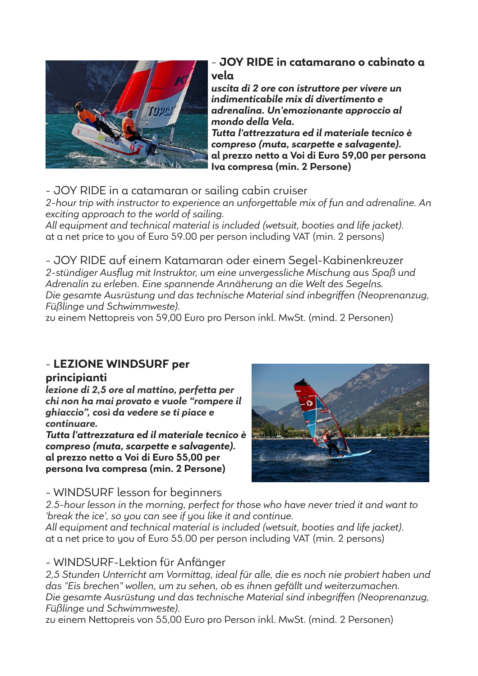

# - **JOY RIDE in catamarano o cabinato a vela**

*uscita di 2 ore con istruttore per vivere un indimenticabile mix di divertimento e adrenalina. Un'emozionante approccio al mondo della Vela.*

*Tutta l'attrezzatura ed il materiale tecnico è compreso (muta, scarpette e salvagente).* **al prezzo netto a Voi di Euro 59,00 per persona Iva compresa (min. 2 Persone)**

- JOY RIDE in a catamaran or sailing cabin cruiser

*2-hour trip with instructor to experience an unforgettable mix of fun and adrenaline. An exciting approach to the world of sailing.*

*All equipment and technical material is included (wetsuit, booties and life jacket).*  at a net price to you of Euro 59.00 per person including VAT (min. 2 persons)

- JOY RIDE auf einem Katamaran oder einem Segel-Kabinenkreuzer *2-stündiger Ausflug mit Instruktor, um eine unvergessliche Mischung aus Spaß und Adrenalin zu erleben. Eine spannende Annäherung an die Welt des Segelns. Die gesamte Ausrüstung und das technische Material sind inbegriffen (Neoprenanzug, Füßlinge und Schwimmweste).* 

zu einem Nettopreis von 59,00 Euro pro Person inkl. MwSt. (mind. 2 Personen)

# - **LEZIONE WINDSURF per**

# **principianti**

*lezione di 2,5 ore al mattino, perfetta per chi non ha mai provato e vuole "rompere il ghiaccio", così da vedere se ti piace e continuare.*

*Tutta l'attrezzatura ed il materiale tecnico è compreso (muta, scarpette e salvagente).* **al prezzo netto a Voi di Euro 55,00 per persona Iva compresa (min. 2 Persone)**



# - WINDSURF lesson for beginners

*2.5-hour lesson in the morning, perfect for those who have never tried it and want to 'break the ice', so you can see if you like it and continue.*

*All equipment and technical material is included (wetsuit, booties and life jacket).* at a net price to you of Euro 55.00 per person including VAT (min. 2 persons)

# - WINDSURF-Lektion für Anfänger

*2,5 Stunden Unterricht am Vormittag, ideal für alle, die es noch nie probiert haben und das "Eis brechen" wollen, um zu sehen, ob es ihnen gefällt und weiterzumachen. Die gesamte Ausrüstung und das technische Material sind inbegriffen (Neoprenanzug, Füßlinge und Schwimmweste).*

zu einem Nettopreis von 55,00 Euro pro Person inkl. MwSt. (mind. 2 Personen)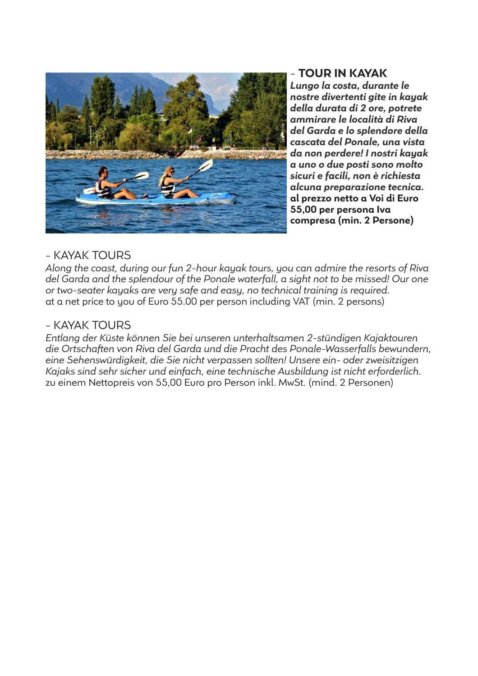

- **TOUR IN KAYAK**

*Lungo la costa, durante le nostre divertenti gite in kayak della durata di 2 ore, potrete ammirare le località di Riva del Garda e lo splendore della cascata del Ponale, una vista da non perdere! I nostri kayak a uno o due posti sono molto sicuri e facili, non è richiesta alcuna preparazione tecnica.* **al prezzo netto a Voi di Euro 55,00 per persona Iva compresa (min. 2 Persone)**

### - KAYAK TOURS

*Along the coast, during our fun 2-hour kayak tours, you can admire the resorts of Riva del Garda and the splendour of the Ponale waterfall, a sight not to be missed! Our one or two-seater kayaks are very safe and easy, no technical training is required.* at a net price to you of Euro 55.00 per person including VAT (min. 2 persons)

### - KAYAK TOURS

*Entlang der Küste können Sie bei unseren unterhaltsamen 2-stündigen Kajaktouren die Ortschaften von Riva del Garda und die Pracht des Ponale-Wasserfalls bewundern, eine Sehenswürdigkeit, die Sie nicht verpassen sollten! Unsere ein- oder zweisitzigen Kajaks sind sehr sicher und einfach, eine technische Ausbildung ist nicht erforderlich.* zu einem Nettopreis von 55,00 Euro pro Person inkl. MwSt. (mind. 2 Personen)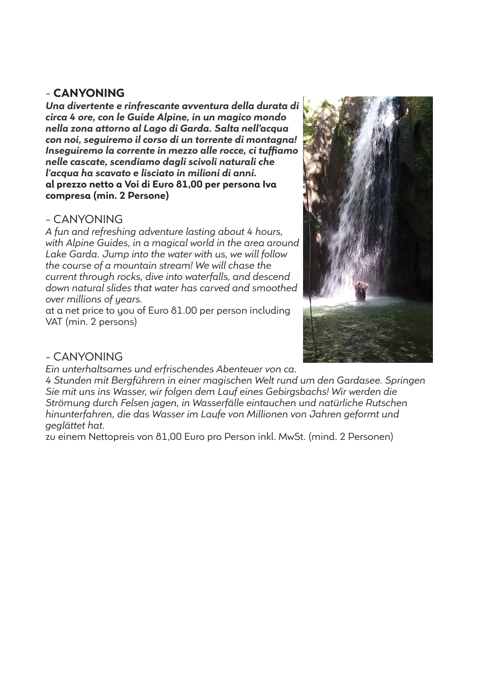# - **CANYONING**

*Una divertente e rinfrescante avventura della durata di circa 4 ore, con le Guide Alpine, in un magico mondo nella zona attorno al Lago di Garda. Salta nell'acqua con noi, seguiremo il corso di un torrente di montagna! Inseguiremo la corrente in mezzo alle rocce, ci tuffiamo nelle cascate, scendiamo dagli scivoli naturali che l'acqua ha scavato e lisciato in milioni di anni.* **al prezzo netto a Voi di Euro 81,00 per persona Iva compresa (min. 2 Persone)**

# - CANYONING

*A fun and refreshing adventure lasting about 4 hours, with Alpine Guides, in a magical world in the area around Lake Garda. Jump into the water with us, we will follow the course of a mountain stream! We will chase the current through rocks, dive into waterfalls, and descend down natural slides that water has carved and smoothed over millions of years.*

at a net price to you of Euro 81.00 per person including VAT (min. 2 persons)



# - CANYONING

*Ein unterhaltsames und erfrischendes Abenteuer von ca.* 

*4 Stunden mit Bergführern in einer magischen Welt rund um den Gardasee. Springen Sie mit uns ins Wasser, wir folgen dem Lauf eines Gebirgsbachs! Wir werden die Strömung durch Felsen jagen, in Wasserfälle eintauchen und natürliche Rutschen hinunterfahren, die das Wasser im Laufe von Millionen von Jahren geformt und geglättet hat.*

zu einem Nettopreis von 81,00 Euro pro Person inkl. MwSt. (mind. 2 Personen)